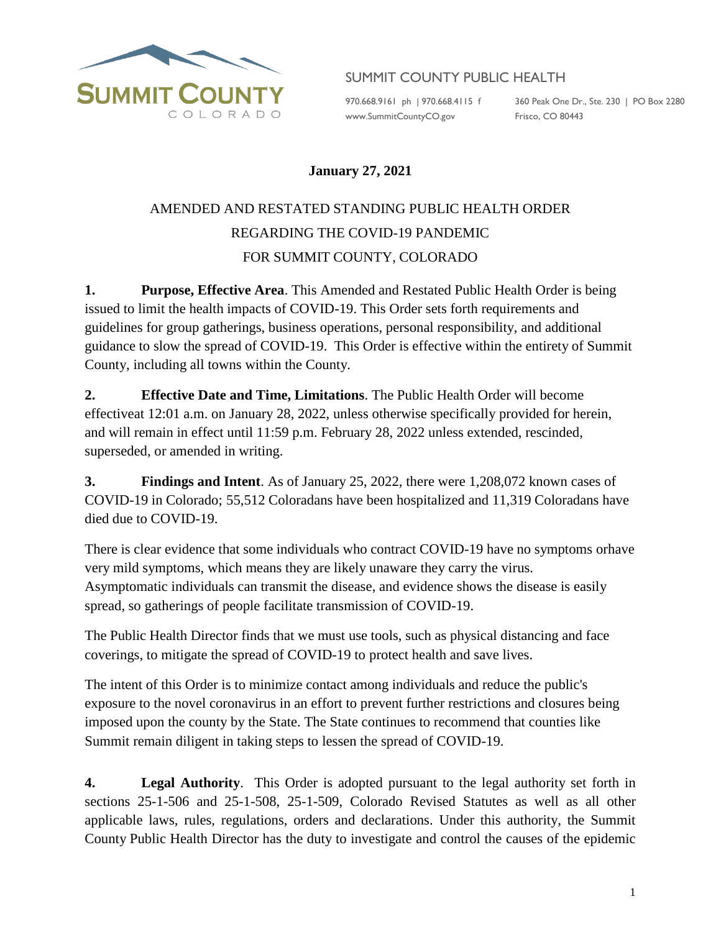

## SUMMIT COUNTY PUBLIC HEALTH

[www.SummitCountyCO.gov](http://www.summitcountyco.gov/) Frisco, CO 80443

970.668.9161 ph | 970.668.4115 f 360 Peak One Dr., Ste. 230 | PO Box 2280

## **January 27, 2021**

## AMENDED AND RESTATED STANDING PUBLIC HEALTH ORDER REGARDING THE COVID-19 PANDEMIC FOR SUMMIT COUNTY, COLORADO

**1. Purpose, Effective Area**. This Amended and Restated Public Health Order is being issued to limit the health impacts of COVID-19. This Order sets forth requirements and guidelines for group gatherings, business operations, personal responsibility, and additional guidance to slow the spread of COVID-19. This Order is effective within the entirety of Summit County, including all towns within the County.

**2. Effective Date and Time, Limitations**. The Public Health Order will become effectiveat 12:01 a.m. on January 28, 2022, unless otherwise specifically provided for herein, and will remain in effect until 11:59 p.m. February 28, 2022 unless extended, rescinded, superseded, or amended in writing.

**3. Findings and Intent**. As of January 25, 2022, there were 1,208,072 known cases of COVID-19 in Colorado; 55,512 Coloradans have been hospitalized and 11,319 Coloradans have died due to COVID-19.

There is clear evidence that some individuals who contract COVID-19 have no symptoms orhave very mild symptoms, which means they are likely unaware they carry the virus. Asymptomatic individuals can transmit the disease, and evidence shows the disease is easily spread, so gatherings of people facilitate transmission of COVID-19.

The Public Health Director finds that we must use tools, such as physical distancing and face coverings, to mitigate the spread of COVID-19 to protect health and save lives.

The intent of this Order is to minimize contact among individuals and reduce the public's exposure to the novel coronavirus in an effort to prevent further restrictions and closures being imposed upon the county by the State. The State continues to recommend that counties like Summit remain diligent in taking steps to lessen the spread of COVID-19.

**4. Legal Authority**. This Order is adopted pursuant to the legal authority set forth in sections 25-1-506 and 25-1-508, 25-1-509, Colorado Revised Statutes as well as all other applicable laws, rules, regulations, orders and declarations. Under this authority, the Summit County Public Health Director has the duty to investigate and control the causes of the epidemic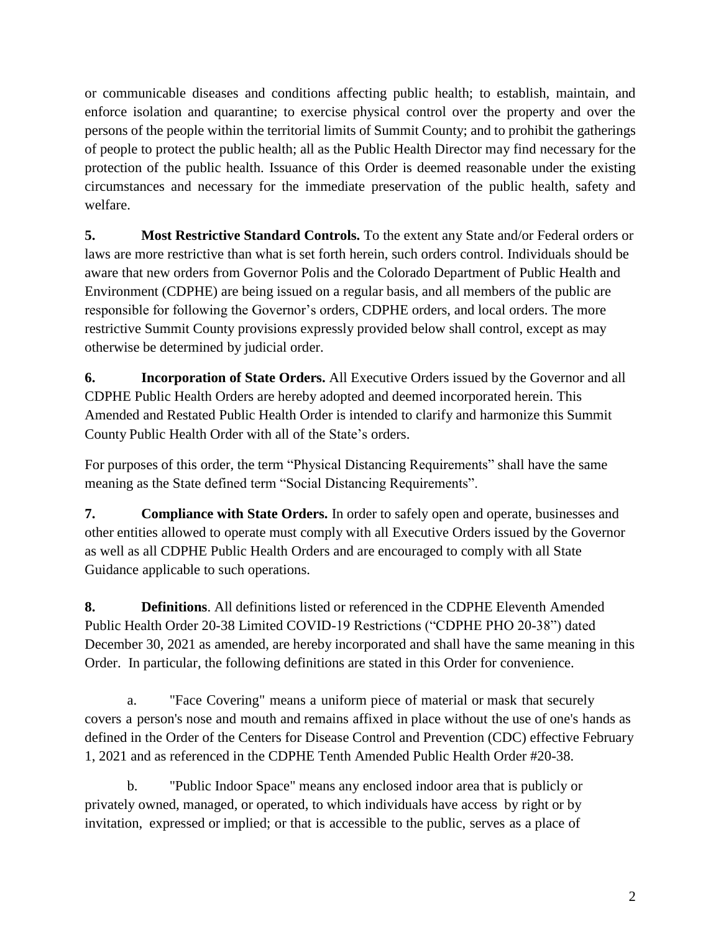or communicable diseases and conditions affecting public health; to establish, maintain, and enforce isolation and quarantine; to exercise physical control over the property and over the persons of the people within the territorial limits of Summit County; and to prohibit the gatherings of people to protect the public health; all as the Public Health Director may find necessary for the protection of the public health. Issuance of this Order is deemed reasonable under the existing circumstances and necessary for the immediate preservation of the public health, safety and welfare.

**5. Most Restrictive Standard Controls.** To the extent any State and/or Federal orders or laws are more restrictive than what is set forth herein, such orders control. Individuals should be aware that new orders from Governor Polis and the Colorado Department of Public Health and Environment (CDPHE) are being issued on a regular basis, and all members of the public are responsible for following the Governor's orders, CDPHE orders, and local orders. The more restrictive Summit County provisions expressly provided below shall control, except as may otherwise be determined by judicial order.

**6. Incorporation of State Orders.** All Executive Orders issued by the Governor and all CDPHE Public Health Orders are hereby adopted and deemed incorporated herein. This Amended and Restated Public Health Order is intended to clarify and harmonize this Summit County Public Health Order with all of the State's orders.

For purposes of this order, the term "Physical Distancing Requirements" shall have the same meaning as the State defined term "Social Distancing Requirements".

**7. Compliance with State Orders.** In order to safely open and operate, businesses and other entities allowed to operate must comply with all Executive Orders issued by the Governor as well as all CDPHE Public Health Orders and are encouraged to comply with all State Guidance applicable to such operations.

**8. Definitions**. All definitions listed or referenced in the CDPHE Eleventh Amended Public Health Order 20-38 Limited COVID-19 Restrictions ("CDPHE PHO 20-38") dated December 30, 2021 as amended, are hereby incorporated and shall have the same meaning in this Order. In particular, the following definitions are stated in this Order for convenience.

a. "Face Covering" means a uniform piece of material or mask that securely covers a person's nose and mouth and remains affixed in place without the use of one's hands as defined in the Order of the Centers for Disease Control and Prevention (CDC) effective February 1, 2021 and as referenced in the CDPHE Tenth Amended Public Health Order #20-38.

b. "Public Indoor Space" means any enclosed indoor area that is publicly or privately owned, managed, or operated, to which individuals have access by right or by invitation, expressed or implied; or that is accessible to the public, serves as a place of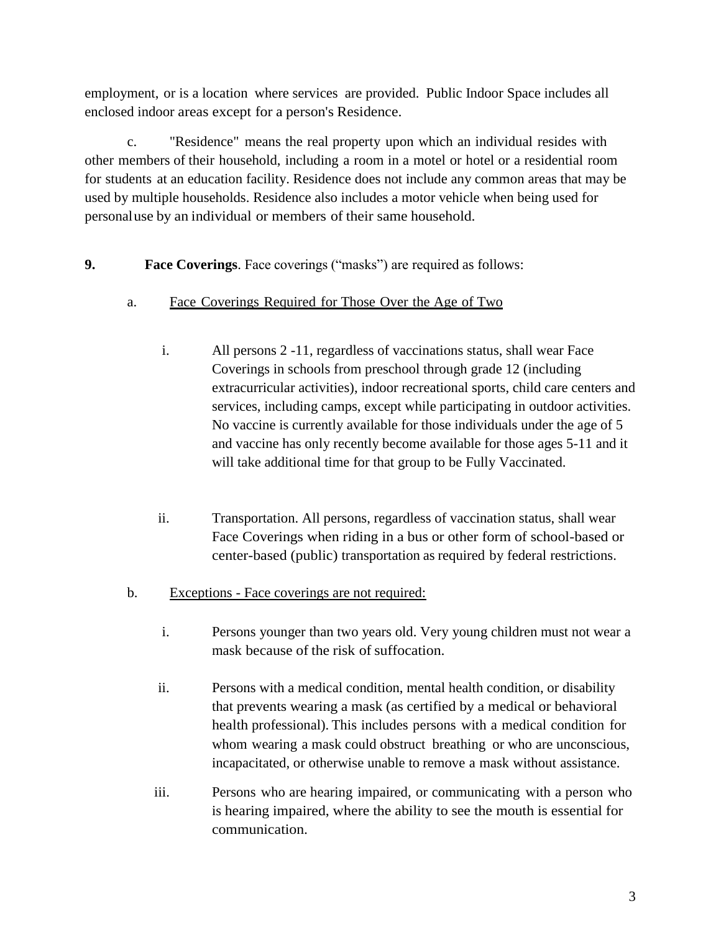employment, or is a location where services are provided. Public Indoor Space includes all enclosed indoor areas except for a person's Residence.

c. "Residence" means the real property upon which an individual resides with other members of their household, including a room in a motel or hotel or a residential room for students at an education facility. Residence does not include any common areas that may be used by multiple households. Residence also includes a motor vehicle when being used for personal use by an individual or members of their same household.

- **9. Face Coverings**. Face coverings ("masks") are required as follows:
	- a. Face Coverings Required for Those Over the Age of Two
		- i. All persons 2 -11, regardless of vaccinations status, shall wear Face Coverings in schools from preschool through grade 12 (including extracurricular activities), indoor recreational sports, child care centers and services, including camps, except while participating in outdoor activities. No vaccine is currently available for those individuals under the age of 5 and vaccine has only recently become available for those ages 5-11 and it will take additional time for that group to be Fully Vaccinated.
		- ii. Transportation. All persons, regardless of vaccination status, shall wear Face Coverings when riding in a bus or other form of school-based or center-based (public) transportation as required by federal restrictions.
	- b. Exceptions Face coverings are not required:
		- i. Persons younger than two years old. Very young children must not wear a mask because of the risk of suffocation.
		- ii. Persons with a medical condition, mental health condition, or disability that prevents wearing a mask (as certified by a medical or behavioral health professional). This includes persons with a medical condition for whom wearing a mask could obstruct breathing or who are unconscious, incapacitated, or otherwise unable to remove a mask without assistance.
		- iii. Persons who are hearing impaired, or communicating with a person who is hearing impaired, where the ability to see the mouth is essential for communication.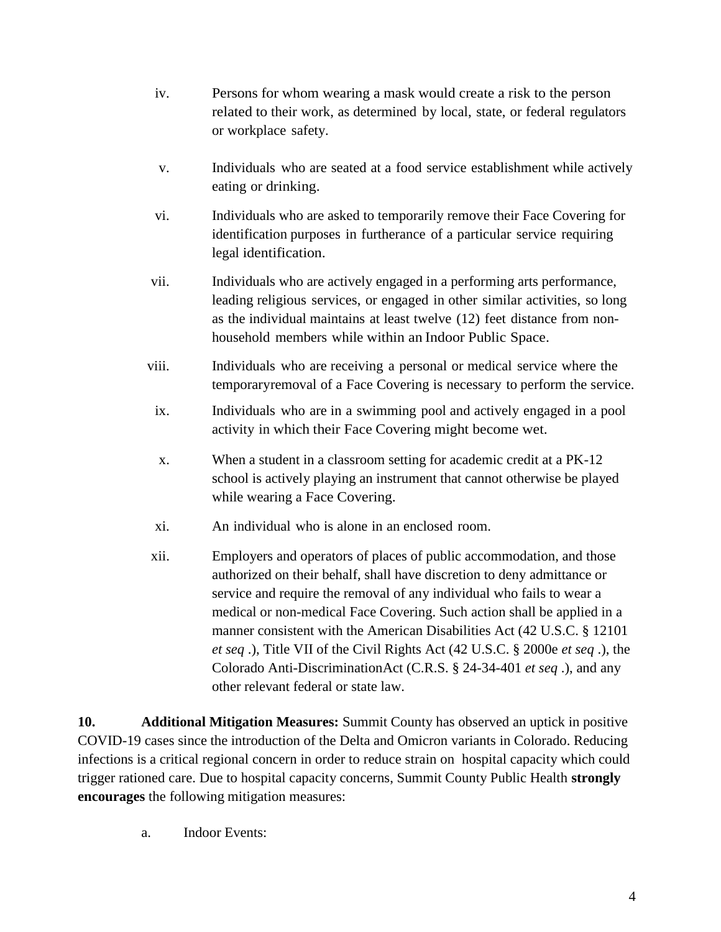- iv. Persons for whom wearing a mask would create a risk to the person related to their work, as determined by local, state, or federal regulators or workplace safety.
- v. Individuals who are seated at a food service establishment while actively eating or drinking.
- vi. Individuals who are asked to temporarily remove their Face Covering for identification purposes in furtherance of a particular service requiring legal identification.
- vii. Individuals who are actively engaged in a performing arts performance, leading religious services, or engaged in other similar activities, so long as the individual maintains at least twelve (12) feet distance from nonhousehold members while within an Indoor Public Space.
- viii. Individuals who are receiving a personal or medical service where the temporaryremoval of a Face Covering is necessary to perform the service.
- ix. Individuals who are in a swimming pool and actively engaged in a pool activity in which their Face Covering might become wet.
- x. When a student in a classroom setting for academic credit at a PK-12 school is actively playing an instrument that cannot otherwise be played while wearing a Face Covering.
- xi. An individual who is alone in an enclosed room.
- xii. Employers and operators of places of public accommodation, and those authorized on their behalf, shall have discretion to deny admittance or service and require the removal of any individual who fails to wear a medical or non-medical Face Covering. Such action shall be applied in a manner consistent with the American Disabilities Act (42 U.S.C. § 12101 *et seq* .), Title VII of the Civil Rights Act (42 U.S.C. § 2000e *et seq* .), the Colorado Anti-DiscriminationAct (C.R.S. § 24-34-401 *et seq* .), and any other relevant federal or state law.

**10. Additional Mitigation Measures:** Summit County has observed an uptick in positive COVID-19 cases since the introduction of the Delta and Omicron variants in Colorado. Reducing infections is a critical regional concern in order to reduce strain on hospital capacity which could trigger rationed care. Due to hospital capacity concerns, Summit County Public Health **strongly encourages** the following mitigation measures:

a. Indoor Events: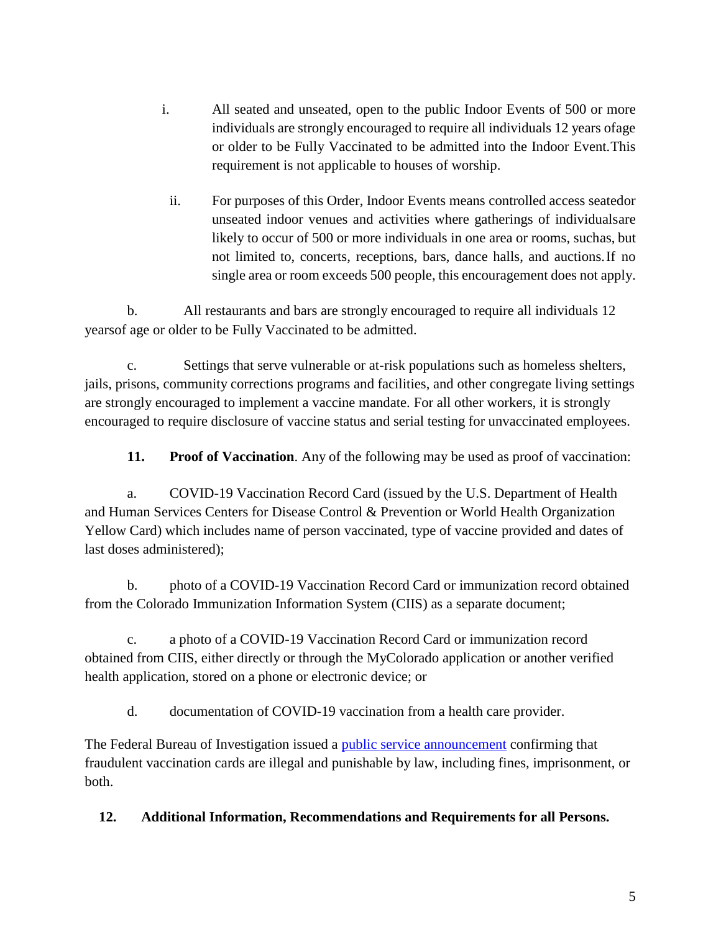- i. All seated and unseated, open to the public Indoor Events of 500 or more individuals are strongly encouraged to require all individuals 12 years ofage or older to be Fully Vaccinated to be admitted into the Indoor Event.This requirement is not applicable to houses of worship.
- ii. For purposes of this Order, Indoor Events means controlled access seatedor unseated indoor venues and activities where gatherings of individualsare likely to occur of 500 or more individuals in one area or rooms, suchas, but not limited to, concerts, receptions, bars, dance halls, and auctions.If no single area or room exceeds 500 people, this encouragement does not apply.

b. All restaurants and bars are strongly encouraged to require all individuals 12 yearsof age or older to be Fully Vaccinated to be admitted.

c. Settings that serve vulnerable or at-risk populations such as homeless shelters, jails, prisons, community corrections programs and facilities, and other congregate living settings are strongly encouraged to implement a vaccine mandate. For all other workers, it is strongly encouraged to require disclosure of vaccine status and serial testing for unvaccinated employees.

**11. Proof of Vaccination**. Any of the following may be used as proof of vaccination:

a. COVID-19 Vaccination Record Card (issued by the U.S. Department of Health and Human Services Centers for Disease Control & Prevention or World Health Organization Yellow Card) which includes name of person vaccinated, type of vaccine provided and dates of last doses administered);

b. photo of a COVID-19 Vaccination Record Card or immunization record obtained from the Colorado Immunization Information System (CIIS) as a separate document;

c. a photo of a COVID-19 Vaccination Record Card or immunization record obtained from CIIS, either directly or through the MyColorado application or another verified health application, stored on a phone or electronic device; or

d. documentation of COVID-19 vaccination from a health care provider.

The Federal Bureau of Investigation issued a [public service announcement](https://www.ic3.gov/Media/Y2021/PSA210330) confirming that fraudulent vaccination cards are illegal and punishable by law, including fines, imprisonment, or both.

**12. Additional Information, Recommendations and Requirements for all Persons.**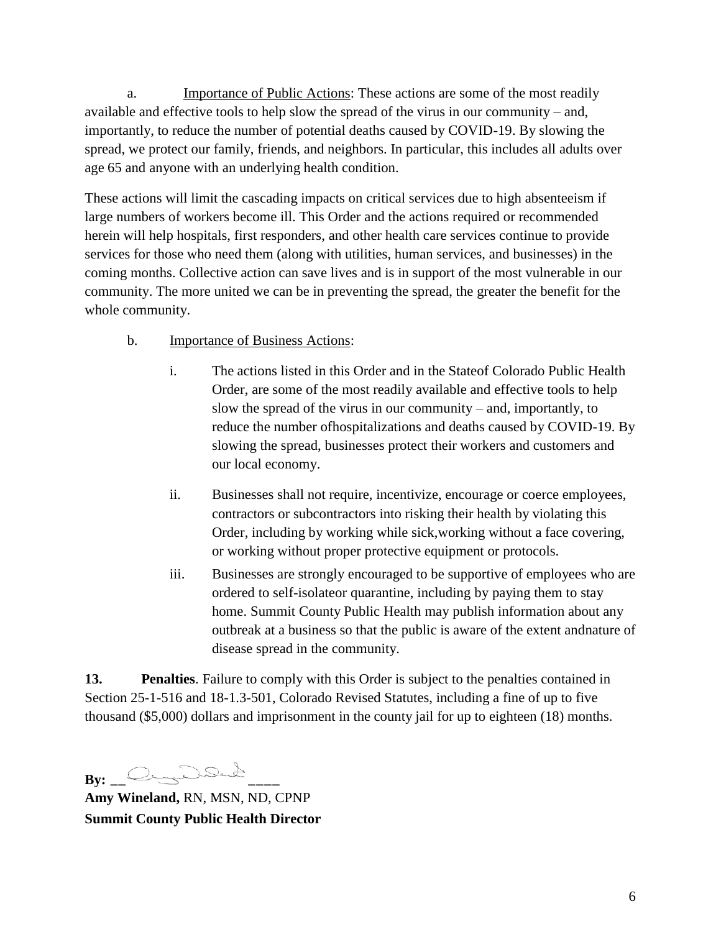a. **Importance of Public Actions:** These actions are some of the most readily available and effective tools to help slow the spread of the virus in our community – and, importantly, to reduce the number of potential deaths caused by COVID-19. By slowing the spread, we protect our family, friends, and neighbors. In particular, this includes all adults over age 65 and anyone with an underlying health condition.

These actions will limit the cascading impacts on critical services due to high absenteeism if large numbers of workers become ill. This Order and the actions required or recommended herein will help hospitals, first responders, and other health care services continue to provide services for those who need them (along with utilities, human services, and businesses) in the coming months. Collective action can save lives and is in support of the most vulnerable in our community. The more united we can be in preventing the spread, the greater the benefit for the whole community.

- b. Importance of Business Actions:
	- i. The actions listed in this Order and in the Stateof Colorado Public Health Order, are some of the most readily available and effective tools to help slow the spread of the virus in our community – and, importantly, to reduce the number ofhospitalizations and deaths caused by COVID-19. By slowing the spread, businesses protect their workers and customers and our local economy.
	- ii. Businesses shall not require, incentivize, encourage or coerce employees, contractors or subcontractors into risking their health by violating this Order, including by working while sick,working without a face covering, or working without proper protective equipment or protocols.
	- iii. Businesses are strongly encouraged to be supportive of employees who are ordered to self-isolateor quarantine, including by paying them to stay home. Summit County Public Health may publish information about any outbreak at a business so that the public is aware of the extent andnature of disease spread in the community.

**13. Penalties**. Failure to comply with this Order is subject to the penalties contained in Section 25-1-516 and 18-1.3-501, Colorado Revised Statutes, including a fine of up to five thousand (\$5,000) dollars and imprisonment in the county jail for up to eighteen (18) months.

**By: \_\_ \_\_\_\_**

**Amy Wineland,** RN, MSN, ND, CPNP **Summit County Public Health Director**